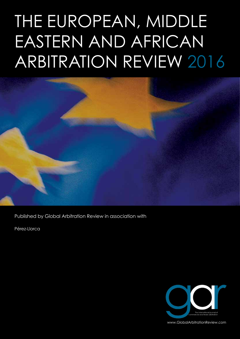# THE EUROPEAN, MIDDLE EASTERN AND AFRICAN ARBITRATION REVIEW 2016



Published by Global Arbitration Review in association with

Pérez-Llorca



www.GlobalArbitrationReview.com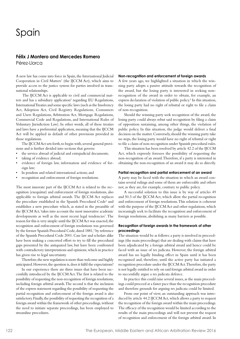### Spain

#### **Félix J Montero and Mercedes Romero**

Pérez-Llorca

A new law has come into force in Spain, the International Judicial Cooperation in Civil Matters<sup>1</sup> (the IJCCM Act), which aims to provide access to the justice system for parties involved in transnational relationships.

 The IJCCM Act is applicable to civil and commercial matters and has a subsidiary application<sup>2</sup> regarding EU Regulations, International Treaties and some specific laws (such as the Insolvency Act, Adoption Act, Civil Registry Regulations, Consumers and Users Regulations, Arbitration Act, Mortgage Regulations, Commercial Code and Regulations, and International Rules of Voluntary Jurisdiction Law). In other words, all of these treaties and laws have a preferential application, meaning that the IJCCM Act will be applied in default of other provisions provided in those regulations.

The IJCCM Act sets forth, to begin with, several general provisions and is further divided into sections that govern:

- the service abroad of judicial and extrajudicial documents;
- taking of evidence abroad;
- evidence of foreign law, information and evidence of foreign law;
- lis pendens and related international actions; and
- recognition and enforcement of foreign resolutions.

The most innovate part of the IJCCM Act is related to the recognition (exequátur) and enforcement of foreign resolutions, also applicable to foreign arbitral awards. The IJCCM Act replaces the procedure established in the Spanish Procedural Code<sup>3</sup> and establishes a new procedure which, as stated in the preamble of the IJCCM Act, 'takes into account the most innovative academic developments as well as the most recent legal tendencies'. The reason for this is very simple: until the IJCCM Act was enacted, the recognition and enforcement of foreign resolutions was governed by the former Spanish Procedural Code, dated 1881,<sup>4</sup> by reference of the Spanish Procedural Code 2001. Case law and scholars alike have been making a concerted effort to try to fill the procedural gaps presented by the antiquated law, but have been confronted with contradictory interpretations and opinions, which in practice has given rise to legal uncertainty.

Therefore, the new regulation is more than welcome and highly anticipated. However, the question is, does it fulfil the expectations?

In our experience there are three issues that have been successfully introduced by the IJCCM Act. The first is related to the possibility of requesting the non-recognition of foreign resolutions, including foreign arbitral awards. The second is that the inclusion of the express statement regarding the possibility of requesting the partial recognition and enforcement of the foreign award is also satisfactory. Finally, the possibility of requesting the recognition of a foreign award within the framework of other proceedings, without the need to initiate separate proceedings, has been employed to streamline procedures.

#### **Non-recognition and enforcement of foreign awards**

A few years ago, we highlighted a situation in which the winning party adopts a passive attitude towards the recognition of the award, but the losing party is interested in seeking nonrecognition of the award in order to obtain, for example, an express declaration of violation of public policy.<sup>5</sup> In this situation, the losing party had no right of rebuttal or right to file a claim of non-recognition.

Should the winning party seek recognition of the award, the losing party could always rebut said recognition by filing a claim of opposition sustaining, among other things, the violation of public policy. In this situation, the judge would deliver a final decision on the matter. Conversely, should the winning party take no steps, the losing party would have no right of rebuttal or right to file a claim of non-recognition under Spanish procedural rules.

This situation has been resolved by article 42.2 of the IJCCM Act, which expressly foresees the possibility of requesting the non-recognition of an award. Therefore, if a party is interested in obtaining the non-recognition of an award it may do so directly.

#### **Partial recognition and partial enforcement of an award**

A party may be faced with the situation in which an award contains several rulings and some of them are enforceable and others not, as they are, for example, contrary to public policy.

A successful solution to this issue is by way of articles 49 and 50.3 of the IJCCM Act, which allow the partial recognition and enforcement of foreign resolutions. This solution is coherent with the purpose of the IJCCM Act and other regulations, which increasingly seek to facilitate the recognition and enforcement of foreign resolutions, abolishing as many barriers as possible.

#### **Recognition of foreign awards in the framework of other proceedings**

The situation would be as follows: a party is involved in proceedings (the main proceedings) that are dealing with claims that have been adjudicated by a foreign arbitral award and hence could be faced with an issue of res judicata. However, the foreign arbitral award has no legally binding effect in Spain until it has been recognised and, therefore, until the active party has initiated a recognition procedure under the IJCCM Act. Therefore, the party is not legally entitled to rely on said foreign arbitral award in order to successfully argue a res judicata defence.

In practice this could raise several issues, as the main proceedings could proceed at a faster pace than the recognition procedure and therefore grounds for arguing res judicata could be limited.

From our point of view, an outstanding approach was introduced by article 44.2 IJCCM Act, which allows a party to request the recognition of the foreign award within the main proceedings. The efficacy of the recognition would be limited according to the results of the main proceedings and will not prevent the request of recognition and enforcement of the foreign arbitral award. In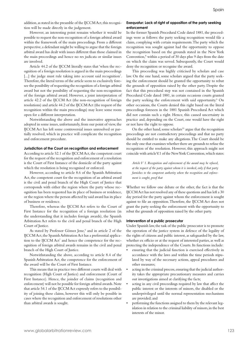addition, as stated in the preamble of the IJCCM Act, this recognition will be made directly in the judgement.

However, an interesting point remains whether it would be possible to request the non-recognition of a foreign arbitral award within the framework of the main proceedings. From a different perspective, a defendant might be willing to argue that the foreign arbitral award has dealt with issues different than those claimed in the main proceedings and hence no res judicata or similar issues are involved.

Article 44.2 of the IJCCM literally states that 'when the recognition of a foreign resolution is argued in the main proceedings [...] the judge must rule taking into account said recognition'. Therefore, the literal terms of the article seem to exclusively foresee the possibility of requesting the recognition of a foreign arbitral award but not the possibility of requesting the non-recognition of the foreign arbitral award. However, a joint interpretation of article 42.2 of the IJCCM Act (the non-recognition of foreign resolutions) and article 44.2 of the IJCCM Act (the request of the recognition within the main proceedings) may leave some room open for a different interpretation.

Notwithstanding the above and the innovative approaches adopted in some issues, unfortunately, from our point of view, the IJCCM Act has left some controversial issues unresolved or partially resolved, which in practice will complicate the recognition and enforcement procedure.

#### **Jurisdiction of the Court on recognition and enforcement**

According to article 52.1 of the IJCCM Act, the competent court for the request of the recognition and enforcement of a resolution is the Court of First Instance of the domicile of the party against which the resolution is being recognised or enforced.

However, according to article 8.6 of the Spanish Arbitration Act, the competent court for the recognition of an arbitral award is the civil and penal branch of the High Court of Justice that corresponds with either the region where the party whose recognition has been requested has its place of business or residence, or the region where the person affected by said award has its place of business or residence.

Therefore, whereas the IJCCM Act refers to the Court of First Instance for the recognition of a foreign resolution (in the understanding that it includes foreign awards), the Spanish Arbitration Act refers to the civil and penal branch of the High Court of Justice.

As stated by Professor Gómez Jene,<sup>6</sup> and in article 2 of the IJCCM Act, the Spanish Arbitration Act has a preferential application to the IJCCM Act<sup>7</sup> and hence the competence for the recognition of foreign arbitral awards remains in the civil and penal branch of the High Court of Justice.

Notwithstanding the above, according to article 8.4 of the Spanish Arbitration Act, the competence for the enforcement of the award will be the Court of First Instance.

This means that in practice two different courts will deal with recognition (High Court of Justice) and enforcement (Court of First Instance). Hence, the joinder of claims (recognition and enforcement) will not be possible for foreign arbitral awards. Note that article 54.1 of the IJCCM Act expressly refers to the possibility of joining these claims, however this will only be possible in cases where the recognition and enforcement of resolutions other than arbitral awards is sought.

#### **Exequatur: Lack of right of opposition of the party seeking enforcement**

In the former Spanish Procedural Code dated 1881, the proceedings were as follows: the party seeking recognition would file a claim, complying with certain requirements. The party which the recognition was sought against had the opportunity to oppose the recognition based on the grounds stated in the New York Convention,<sup>8</sup> within a period of 30 days plus 9 days from the date on which the claim was served. Subsequently, the Court would deny the recognition or recognise the award.

This proceeding was highly criticised by scholars and case law. On the one hand, some scholars argued that the party seeking the enforcement should be granted the opportunity to rebut the grounds of opposition raised by the other party. Despite the fact that this procedural step was not contained in the Spanish Procedural Code dated 1881, in certain occasions courts granted the party seeking the enforcement with said opportunity.<sup>9</sup> On other occasions, the Courts denied this right based on the literal proceedings foreseen in the 1881 Spanish Procedural Act which did not contain such a right. Hence, this caused uncertainty in practice and, depending on the Court, one would have the right or not have the right to oppose.

On the other hand, some scholars<sup>10</sup> argue that the recognition proceedings are not contradictory proceedings and that no party should be entitled to make any allegations. The Court should be the only one that examines whether there are grounds to refuse the recognition of the resolution. However, this approach might not coincide with article V.1 of the New York Convention, which states:

*Article V 1. Recognition and enforcement of the award may be refused, at the request of the party against whom it is invoked, only if that party furnishes to the competent authority where the recognition and enforcement is sought, proof that*

Whether we follow one debate or the other, the fact is that the IJCCM Act has not resolved any of these questions and has left a 30 day period for the party against whom the enforcement is sought against to file an opposition. Therefore, the IJCCM Act does not grant the party seeking the enforcement with the opportunity to rebut the grounds of opposition raised by the other party.

#### **Intervention of a public prosecutor**

Under Spanish law, the task of the public prosecutor is to promote the operation of the justice system in defence of the legality of the rights of citizens and public interest, as safeguarded by the law, whether ex officio or at the request of interested parties, as well as protecting the independence of the Courts. Its functions include:

- ensuring that the judicial function is exercised effectively in accordance with the laws and within the time periods stipulated by way of the necessary actions, appeal procedures and other measures;
- acting in the criminal process, ensuring that the judicial authority takes the appropriate precautionary measures and carries out investigations aimed at clarifying the facts;
- acting in any civil proceedings required by law that affect the public interest or the interests of minors, the disabled or the underprivileged until the normal representation mechanisms are provided; and
- performing the functions assigned to them by the relevant legislation in relation to the criminal liability of minors, in the best interests of the minor.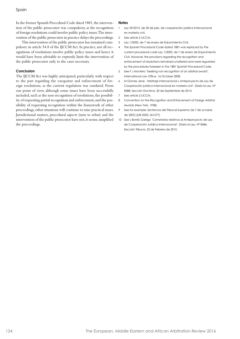Spain

In the former Spanish Procedural Code dated 1881, the intervention of the public prosecutor was compulsory, as the recognition of foreign resolutions could involve public policy issues. The intervention of the public prosecutor in practice delays the proceedings.

This intervention of the public prosecutor has remained compulsory in article 54.8 of the IJCCM Act. In practice, not all recognitions of resolutions involve public policy issues and hence it would have been advisable to expressly limit the intervention of the public prosecutor only to the cases necessary.

#### **Conclusion**

The IJCCM Act was highly anticipated, particularly with respect to the part regarding the exequatur and enforcement of foreign resolutions, as the current regulation was outdated. From our point of view, although some issues have been successfully included, such as the non-recognition of resolutions, the possibility of requesting partial recognition and enforcement, and the possibility of requesting recognition within the framework of other proceedings, other situations will continue to raise practical issues. Jurisdictional matters, procedural aspects (turn to rebut) and the intervention of the public prosecutor have not, it seems, simplified the proceedings.

#### **Notes**

- 1 Ley 29/2015, de 30 de julio, de cooperación jurídica internacional en materia civil.
- 2 See article 2 IJCCM.
- 3 Ley 1/2000, de 7 de enero de Enjuicimiento Civil.
- 4 The Spanish Procedural Code dated 1881 was replaced by the current procedural code Ley 1/2000, de 7 de enero de Enjuicimiento Civil. However, the provisions regarding the recognition and enforcement of resolutions remained unaltered and were regulated by the procedures foreseen in the 1881 Spanish Procedural Code.
- 5 See F J Montero 'Seeking non recognition of an arbitral award'. International Law Office. 16 October 2008.
- 6 M Gómez Jene, 'Arbitraje Internacional y Anteproyecto de Ley de Cooperación jurídica internacional en materia civil'. Diario la Ley, Nº 8388, Sección Doctrina, 20 de Septiembre de 2014.
- 7 See article 2 IJCCM.
- 8 Convention on the Recognition and Enforcement of Foreign Arbitral Awards (New York, 1958).
- 9 See for example: Sentencia del Tribunal Supremo de 7 de octubre de 2003 [JUR 2003, 261577].
- 10 See L Bonilo Garrigo 'Cometarios relativos al Anteproyecto de Ley de Cooperación Jurídica Internacional'. Diario la Ley, Nº 8486, Sección Tribuna, 23 de Febrero de 2015.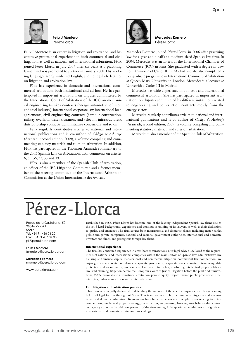

**Félix J Montero** Pérez-Llorca

Félix J Montero is an expert in litigation and arbitration, and has extensive professional experience in both commercial and civil litigation, as well as national and international arbitration. Félix joined Pérez-Llorca in July 2004 after six years as a practising lawyer, and was promoted to partner in January 2008. His working languages are Spanish and English, and he regularly lectures on litigation and arbitration law.

Félix has experience in domestic and international commercial arbitration, both institutional and ad hoc. He has participated in important arbitrations on disputes administered by the International Court of Arbitration of the ICC on mechanical engineering turnkey contracts (energy, automotive, oil, iron and steel industry), international corporate law, international loan agreements, civil engineering contracts (harbour construction, railway overhaul, water treatment and telecom infrastructures), distributorship contracts, administrative concessions and so on.

Félix regularly contributes articles to national and international publications and is co-author of *Código de Arbitraje* (Aranzadi, second edition, 2009), a volume compiling and commenting statutory materials and rules on arbitration. In addition, Félix has participated in the Thomson-Aranzadi commentary to the 2003 Spanish Law on Arbitration, with comments on articles 6, 35, 36, 37, 38 and 39.

Félix is also a member of the Spanish Club of Arbitration, an officer of the IBA Litigation Committee and a former member of the steering committee of the International Arbitration Commission at the Union Internationale des Avocats.



**Mercedes Romero** Pérez-Llorca

Mercedes Romero joined Pérez-Llorca in 2006 after practising law for a year and a half at a medium-sized Spanish law firm. In 2004, Mercedes was an intern at the International Chamber of Commerce (ICC) in Paris. She graduated with a degree in Law from Universidad Carlos III in Madrid and she also completed a postgraduate programme in International Commercial Arbitration at Queen Mary University in London. Mercedes is a lecturer at Universidad Carlos III in Madrid.

Mercedes has wide experience in domestic and international commercial arbitration. She has participated in important arbitrations on disputes administered by different institutions related to engineering and construction contracts mostly from the energy sector.

Mercedes regularly contributes articles to national and international publications and is co-author of *Código de Arbitraje* (Aranzadi, second edition, 2009), a volume compiling and commenting statutory materials and rules on arbitration.

Mercedes is also a member of the Spanish Club of Arbitration.

## Pérez-Llorca

Paseo de la Castellana, 50 28046 Madrid Spain Tel: +34 91 436 04 20 Fax: +34 91 436 04 30 pll@perezllorca.com

**Félix J Montero** fmontero@perezllorca.com

**Mercedes Romero** mromero@perezllorca.com

www.perezllorca.com

Established in 1983, Pérez-Llorca has become one of the leading independent Spanish law firms due to the solid legal background, experience and continuous training of its lawyers, as well as their dedication to quality and efficiency. The firm advises both international and domestic clients, including major banks, public and private companies, national and regional government authorities, international and domestic investors and funds, and prestigious foreign law firms.

#### **International experience**

The firm has continued experience in cross-border transactions. Our legal advice is tailored to the requirements of national and international companies within the main sectors of Spanish law: administrative law, banking and finance, capital markets, civil and commercial litigation, commercial law, competition law, copyright law, corporate compliance, corporate governance, corporate law, corporate restructuring, data protection and e-commerce, environment, European Union law, insolvency, intellectual property, labour law, land planning, litigation before the European Court of Justice, litigation before the public administrations, M&A, national and international arbitration, private equity, project finance, public procurement, real estate, tax, unfair competition and white collar crime.

#### **Our litigation and arbitration practice**

This team is principally dedicated to defending the interests of the client companies, with lawyers acting before all legal forums throughout Spain. This team focuses on both commercial litigation and international and domestic arbitration. Its members have broad experience in complex cases relating to unfair competition, intellectual property, energy, construction, engineering, banking, tort liability, distribution and agency contracts. In addition, partners of the firm are regularly appointed as arbitrators in significant international and domestic arbitration proceedings.